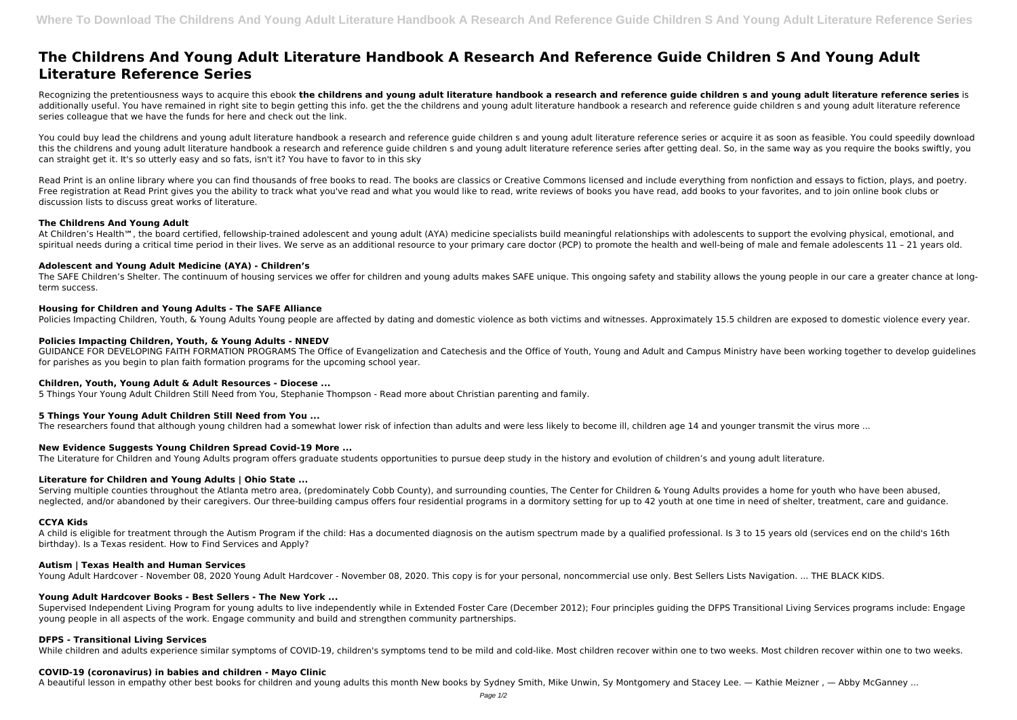# **The Childrens And Young Adult Literature Handbook A Research And Reference Guide Children S And Young Adult Literature Reference Series**

Recognizing the pretentiousness ways to acquire this ebook **the childrens and young adult literature handbook a research and reference guide children s and young adult literature reference series** is additionally useful. You have remained in right site to begin getting this info. get the the childrens and young adult literature handbook a research and reference guide children s and young adult literature reference series colleague that we have the funds for here and check out the link.

You could buy lead the childrens and young adult literature handbook a research and reference guide children s and young adult literature reference series or acquire it as soon as feasible. You could speedily download this the childrens and young adult literature handbook a research and reference guide children s and young adult literature reference series after getting deal. So, in the same way as you require the books swiftly, you can straight get it. It's so utterly easy and so fats, isn't it? You have to favor to in this sky

Read Print is an online library where you can find thousands of free books to read. The books are classics or Creative Commons licensed and include everything from nonfiction and essays to fiction, plays, and poetry. Free registration at Read Print gives you the ability to track what you've read and what you would like to read, write reviews of books you have read, add books to your favorites, and to join online book clubs or discussion lists to discuss great works of literature.

The SAFE Children's Shelter. The continuum of housing services we offer for children and young adults makes SAFE unique. This ongoing safety and stability allows the young people in our care a greater chance at longterm success.

## **The Childrens And Young Adult**

At Children's Health<sup>™</sup>, the board certified, fellowship-trained adolescent and young adult (AYA) medicine specialists build meaningful relationships with adolescents to support the evolving physical, emotional, and spiritual needs during a critical time period in their lives. We serve as an additional resource to your primary care doctor (PCP) to promote the health and well-being of male and female adolescents 11 – 21 years old.

Serving multiple counties throughout the Atlanta metro area, (predominately Cobb County), and surrounding counties, The Center for Children & Young Adults provides a home for youth who have been abused, neglected, and/or abandoned by their caregivers. Our three-building campus offers four residential programs in a dormitory setting for up to 42 youth at one time in need of shelter, treatment, care and guidance.

## **Adolescent and Young Adult Medicine (AYA) - Children's**

## **Housing for Children and Young Adults - The SAFE Alliance**

Supervised Independent Living Program for young adults to live independently while in Extended Foster Care (December 2012); Four principles guiding the DFPS Transitional Living Services programs include: Engage young people in all aspects of the work. Engage community and build and strengthen community partnerships.

Policies Impacting Children, Youth, & Young Adults Young people are affected by dating and domestic violence as both victims and witnesses. Approximately 15.5 children are exposed to domestic violence every year.

## **Policies Impacting Children, Youth, & Young Adults - NNEDV**

GUIDANCE FOR DEVELOPING FAITH FORMATION PROGRAMS The Office of Evangelization and Catechesis and the Office of Youth, Young and Adult and Campus Ministry have been working together to develop guidelines for parishes as you begin to plan faith formation programs for the upcoming school year.

#### **Children, Youth, Young Adult & Adult Resources - Diocese ...**

5 Things Your Young Adult Children Still Need from You, Stephanie Thompson - Read more about Christian parenting and family.

# **5 Things Your Young Adult Children Still Need from You ...**

The researchers found that although young children had a somewhat lower risk of infection than adults and were less likely to become ill, children age 14 and younger transmit the virus more ...

# **New Evidence Suggests Young Children Spread Covid-19 More ...**

The Literature for Children and Young Adults program offers graduate students opportunities to pursue deep study in the history and evolution of children's and young adult literature.

# **Literature for Children and Young Adults | Ohio State ...**

# **CCYA Kids**

A child is eligible for treatment through the Autism Program if the child: Has a documented diagnosis on the autism spectrum made by a qualified professional. Is 3 to 15 years old (services end on the child's 16th birthday). Is a Texas resident. How to Find Services and Apply?

#### **Autism | Texas Health and Human Services**

Young Adult Hardcover - November 08, 2020 Young Adult Hardcover - November 08, 2020. This copy is for your personal, noncommercial use only. Best Sellers Lists Navigation. ... THE BLACK KIDS.

# **Young Adult Hardcover Books - Best Sellers - The New York ...**

## **DFPS - Transitional Living Services**

While children and adults experience similar symptoms of COVID-19, children's symptoms tend to be mild and cold-like. Most children recover within one to two weeks. Most children recover within one to two weeks.

# **COVID-19 (coronavirus) in babies and children - Mayo Clinic**

A beautiful lesson in empathy other best books for children and young adults this month New books by Sydney Smith, Mike Unwin, Sy Montgomery and Stacey Lee. — Kathie Meizner , — Abby McGanney ...